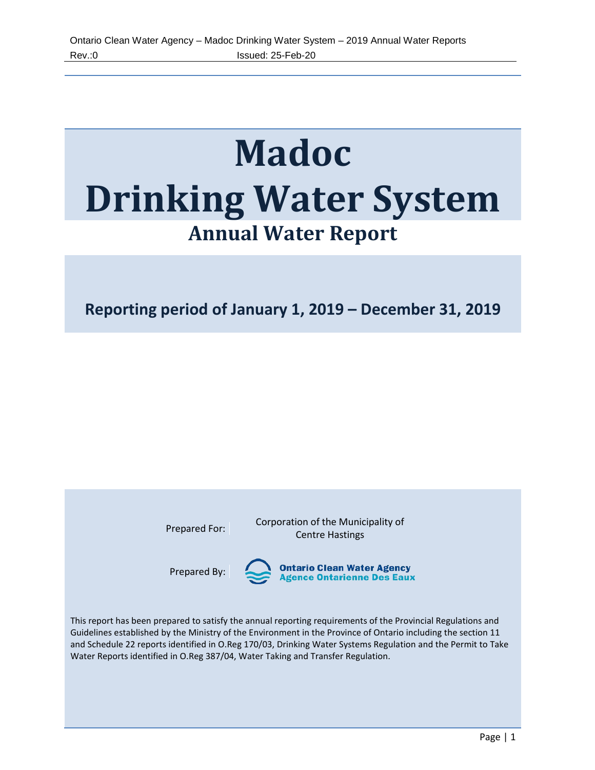# **Madoc Drinking Water System Annual Water Report**

**Reporting period of January 1, 2019 – December 31, 2019**

Prepared For: Corporation of the Municipality of Centre Hastings

Prepared By:

**Ontario Clean Water Agency<br>Agence Ontarienne Des Eaux** 

This report has been prepared to satisfy the annual reporting requirements of the Provincial Regulations and Guidelines established by the Ministry of the Environment in the Province of Ontario including the section 11 and Schedule 22 reports identified in O.Reg 170/03, Drinking Water Systems Regulation and the Permit to Take Water Reports identified in O.Reg 387/04, Water Taking and Transfer Regulation.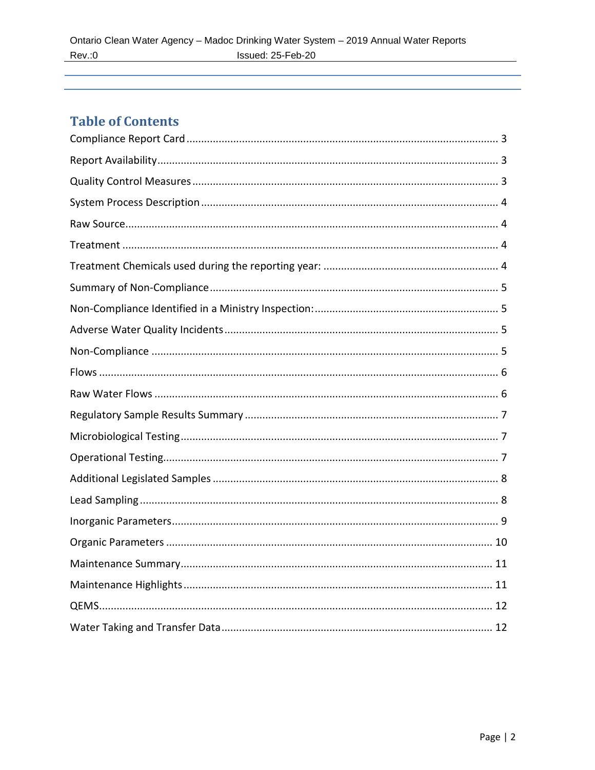# **Table of Contents**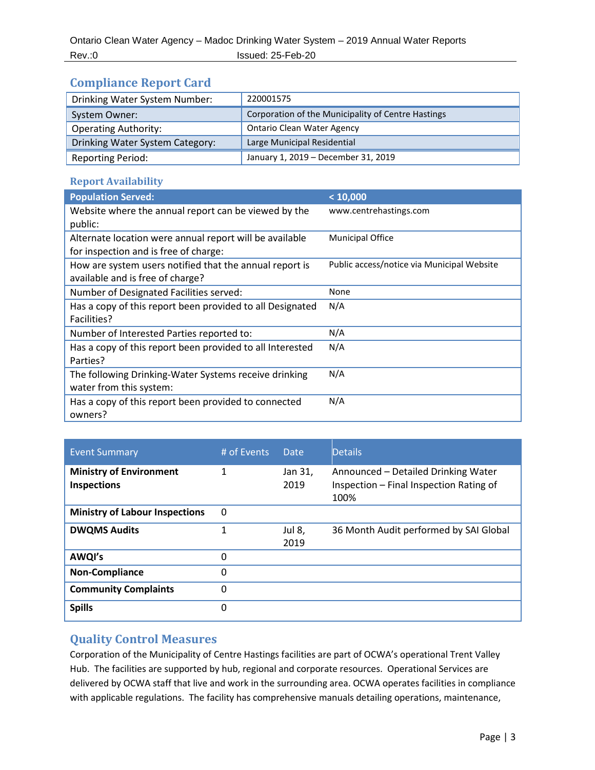# <span id="page-2-0"></span>**Compliance Report Card**

| Drinking Water System Number:   | 220001575                                          |
|---------------------------------|----------------------------------------------------|
| System Owner:                   | Corporation of the Municipality of Centre Hastings |
| <b>Operating Authority:</b>     | <b>Ontario Clean Water Agency</b>                  |
| Drinking Water System Category: | Large Municipal Residential                        |
| <b>Reporting Period:</b>        | January 1, 2019 - December 31, 2019                |

## <span id="page-2-1"></span>**Report Availability**

| <b>Population Served:</b>                                 | < 10,000                                   |
|-----------------------------------------------------------|--------------------------------------------|
| Website where the annual report can be viewed by the      | www.centrehastings.com                     |
| public:                                                   |                                            |
| Alternate location were annual report will be available   | <b>Municipal Office</b>                    |
| for inspection and is free of charge:                     |                                            |
| How are system users notified that the annual report is   | Public access/notice via Municipal Website |
| available and is free of charge?                          |                                            |
| Number of Designated Facilities served:                   | None                                       |
| Has a copy of this report been provided to all Designated | N/A                                        |
| Facilities?                                               |                                            |
| Number of Interested Parties reported to:                 | N/A                                        |
| Has a copy of this report been provided to all Interested | N/A                                        |
| Parties?                                                  |                                            |
| The following Drinking-Water Systems receive drinking     | N/A                                        |
| water from this system:                                   |                                            |
| Has a copy of this report been provided to connected      | N/A                                        |
| owners?                                                   |                                            |

| <b>Event Summary</b>                                 | # of Events | Date            | <b>Details</b>                                                                         |
|------------------------------------------------------|-------------|-----------------|----------------------------------------------------------------------------------------|
| <b>Ministry of Environment</b><br><b>Inspections</b> | 1           | Jan 31,<br>2019 | Announced – Detailed Drinking Water<br>Inspection - Final Inspection Rating of<br>100% |
| <b>Ministry of Labour Inspections</b>                | 0           |                 |                                                                                        |
| <b>DWQMS Audits</b>                                  | 1           | Jul 8.<br>2019  | 36 Month Audit performed by SAI Global                                                 |
| AWQI's                                               | 0           |                 |                                                                                        |
| <b>Non-Compliance</b>                                | 0           |                 |                                                                                        |
| <b>Community Complaints</b>                          | 0           |                 |                                                                                        |
| <b>Spills</b>                                        | 0           |                 |                                                                                        |

# <span id="page-2-2"></span>**Quality Control Measures**

Corporation of the Municipality of Centre Hastings facilities are part of OCWA's operational Trent Valley Hub. The facilities are supported by hub, regional and corporate resources. Operational Services are delivered by OCWA staff that live and work in the surrounding area. OCWA operates facilities in compliance with applicable regulations. The facility has comprehensive manuals detailing operations, maintenance,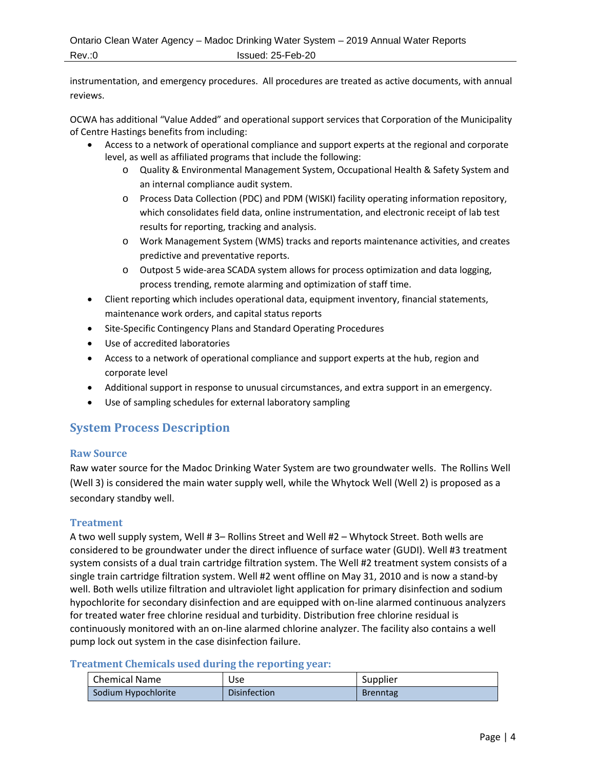instrumentation, and emergency procedures. All procedures are treated as active documents, with annual reviews.

OCWA has additional "Value Added" and operational support services that Corporation of the Municipality of Centre Hastings benefits from including:

- Access to a network of operational compliance and support experts at the regional and corporate level, as well as affiliated programs that include the following:
	- o Quality & Environmental Management System, Occupational Health & Safety System and an internal compliance audit system.
	- o Process Data Collection (PDC) and PDM (WISKI) facility operating information repository, which consolidates field data, online instrumentation, and electronic receipt of lab test results for reporting, tracking and analysis.
	- o Work Management System (WMS) tracks and reports maintenance activities, and creates predictive and preventative reports.
	- o Outpost 5 wide-area SCADA system allows for process optimization and data logging, process trending, remote alarming and optimization of staff time.
- Client reporting which includes operational data, equipment inventory, financial statements, maintenance work orders, and capital status reports
- Site-Specific Contingency Plans and Standard Operating Procedures
- Use of accredited laboratories
- Access to a network of operational compliance and support experts at the hub, region and corporate level
- Additional support in response to unusual circumstances, and extra support in an emergency.
- Use of sampling schedules for external laboratory sampling

# <span id="page-3-0"></span>**System Process Description**

#### <span id="page-3-1"></span>**Raw Source**

Raw water source for the Madoc Drinking Water System are two groundwater wells. The Rollins Well (Well 3) is considered the main water supply well, while the Whytock Well (Well 2) is proposed as a secondary standby well.

#### <span id="page-3-2"></span>**Treatment**

A two well supply system, Well # 3– Rollins Street and Well #2 – Whytock Street. Both wells are considered to be groundwater under the direct influence of surface water (GUDI). Well #3 treatment system consists of a dual train cartridge filtration system. The Well #2 treatment system consists of a single train cartridge filtration system. Well #2 went offline on May 31, 2010 and is now a stand-by well. Both wells utilize filtration and ultraviolet light application for primary disinfection and sodium hypochlorite for secondary disinfection and are equipped with on-line alarmed continuous analyzers for treated water free chlorine residual and turbidity. Distribution free chlorine residual is continuously monitored with an on-line alarmed chlorine analyzer. The facility also contains a well pump lock out system in the case disinfection failure.

#### <span id="page-3-3"></span>**Treatment Chemicals used during the reporting year:**

| <b>Chemical Name</b> | Use                 | Supplier        |
|----------------------|---------------------|-----------------|
| Sodium Hypochlorite  | <b>Disinfection</b> | <b>Brenntag</b> |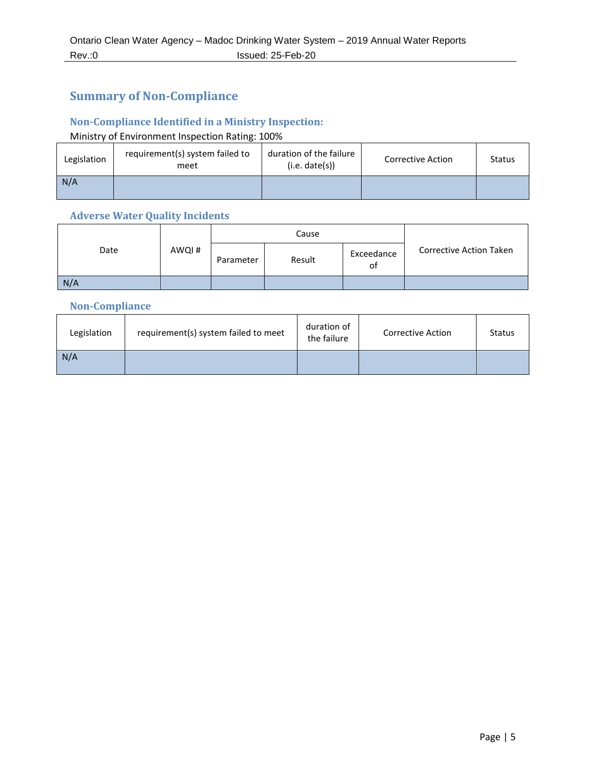# <span id="page-4-0"></span>**Summary of Non-Compliance**

## <span id="page-4-1"></span>**Non-Compliance Identified in a Ministry Inspection:**

## Ministry of Environment Inspection Rating: 100%

| Legislation | requirement(s) system failed to<br>meet | duration of the failure<br>(i.e. date(s)) | <b>Corrective Action</b> | Status |
|-------------|-----------------------------------------|-------------------------------------------|--------------------------|--------|
| N/A         |                                         |                                           |                          |        |

## <span id="page-4-2"></span>**Adverse Water Quality Incidents**

|      |       |           | Cause  |                  |                                |
|------|-------|-----------|--------|------------------|--------------------------------|
| Date | AWQI# | Parameter | Result | Exceedance<br>οf | <b>Corrective Action Taken</b> |
| N/A  |       |           |        |                  |                                |

## <span id="page-4-3"></span>**Non-Compliance**

<span id="page-4-4"></span>

| Legislation | requirement(s) system failed to meet | duration of<br>the failure | <b>Corrective Action</b> | <b>Status</b> |
|-------------|--------------------------------------|----------------------------|--------------------------|---------------|
| N/A         |                                      |                            |                          |               |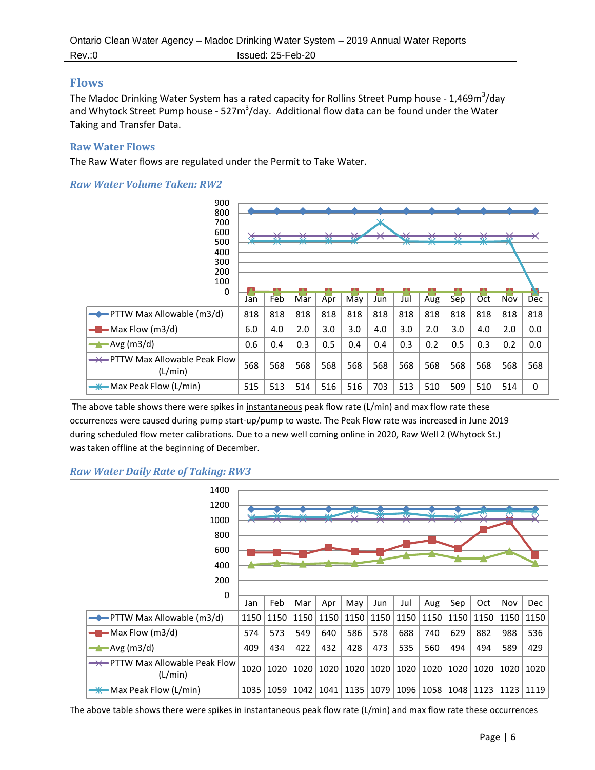## **Flows**

The Madoc Drinking Water System has a rated capacity for Rollins Street Pump house - 1,469m<sup>3</sup>/day and Whytock Street Pump house - 527m<sup>3</sup>/day. Additional flow data can be found under the Water Taking and Transfer Data.

#### <span id="page-5-0"></span>**Raw Water Flows**

The Raw Water flows are regulated under the Permit to Take Water.





The above table shows there were spikes in instantaneous peak flow rate (L/min) and max flow rate these occurrences were caused during pump start-up/pump to waste. The Peak Flow rate was increased in June 2019 during scheduled flow meter calibrations. Due to a new well coming online in 2020, Raw Well 2 (Whytock St.) was taken offline at the beginning of December.

#### *Raw Water Daily Rate of Taking: RW3*

| 1400<br>1200<br>1000<br>800<br>600<br>400<br>200  |      |      | $\overline{\mathbf{M}}$ | xiz  |      | XIX  | रफ   | v    | Niz. | ত    | শু   |            |
|---------------------------------------------------|------|------|-------------------------|------|------|------|------|------|------|------|------|------------|
| 0                                                 | Jan  | Feb  | Mar                     | Apr  | May  | Jun  | Jul  | Aug  | Sep  | Oct  | Nov  | <b>Dec</b> |
| $\rightarrow$ PTTW Max Allowable (m3/d)           | 1150 | 1150 | 1150                    | 1150 | 1150 | 1150 | 1150 | 1150 | 1150 | 1150 | 1150 | 1150       |
| $-Max Flow (m3/d)$                                | 574  | 573  | 549                     | 640  | 586  | 578  | 688  | 740  | 629  | 882  | 988  | 536        |
| $\rightarrow$ Avg (m3/d)                          | 409  | 434  | 422                     | 432  | 428  | 473  | 535  | 560  | 494  | 494  | 589  | 429        |
| <b>-*</b> PTTW Max Allowable Peak Flow<br>(L/min) | 1020 | 1020 | 1020                    | 1020 | 1020 | 1020 | 1020 | 1020 | 1020 | 1020 | 1020 | 1020       |
| <del>—Ж—</del> Max Peak Flow (L/min)              | 1035 | 1059 | 1042                    | 1041 | 1135 | 1079 | 1096 | 1058 | 1048 | 1123 | 1123 | 1119       |

The above table shows there were spikes in instantaneous peak flow rate (L/min) and max flow rate these occurrences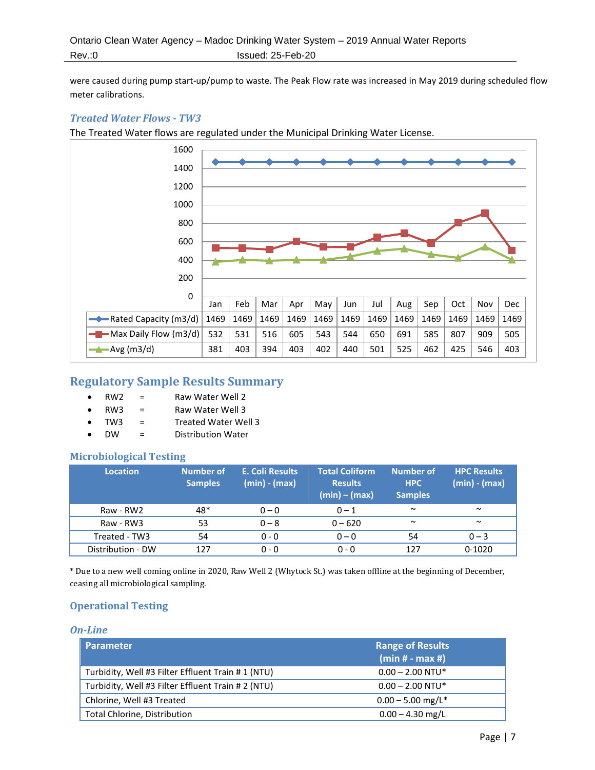were caused during pump start-up/pump to waste. The Peak Flow rate was increased in May 2019 during scheduled flow meter calibrations.

#### *Treated Water Flows - TW3*

The Treated Water flows are regulated under the Municipal Drinking Water License.



# <span id="page-6-0"></span>**Regulatory Sample Results Summary**

- RW2 = Raw Water Well 2
- $RW3 =$ Raw Water Well 3
- TW3 = Treated Water Well 3
- DW = Distribution Water

#### <span id="page-6-1"></span>**Microbiological Testing**

| <b>Location</b>   | <b>Number of</b><br><b>Samples</b> | E. Coli Results<br>(min) - (max) | <b>Total Coliform</b><br><b>Results</b><br>$(min) - (max)$ | Number of<br><b>HPC</b><br><b>Samples</b> | <b>HPC Results</b><br>$(min) - (max)$ |
|-------------------|------------------------------------|----------------------------------|------------------------------------------------------------|-------------------------------------------|---------------------------------------|
| Raw - RW2         | 48*                                | $0 - 0$                          | $0 - 1$                                                    | $\sim$                                    | $\sim$                                |
| Raw - RW3         | 53                                 | $0 - 8$                          | $0 - 620$                                                  | $\sim$                                    | $\sim$                                |
| Treated - TW3     | 54                                 | $0 - 0$                          | $0 - 0$                                                    | 54                                        | $0 - 3$                               |
| Distribution - DW | 127                                | $0 - 0$                          | $0 - 0$                                                    | 127                                       | $0 - 1020$                            |

<span id="page-6-2"></span>\* Due to a new well coming online in 2020, Raw Well 2 (Whytock St.) was taken offline at the beginning of December, ceasing all microbiological sampling.

### **Operational Testing**

#### *On-Line*

| <b>Parameter</b>                                   | <b>Range of Results</b><br>$(min# - max #)$ |
|----------------------------------------------------|---------------------------------------------|
| Turbidity, Well #3 Filter Effluent Train #1 (NTU)  | $0.00 - 2.00$ NTU*                          |
| Turbidity, Well #3 Filter Effluent Train # 2 (NTU) | $0.00 - 2.00$ NTU*                          |
| Chlorine, Well #3 Treated                          | $0.00 - 5.00$ mg/L <sup>*</sup>             |
| Total Chlorine, Distribution                       | $0.00 - 4.30$ mg/L                          |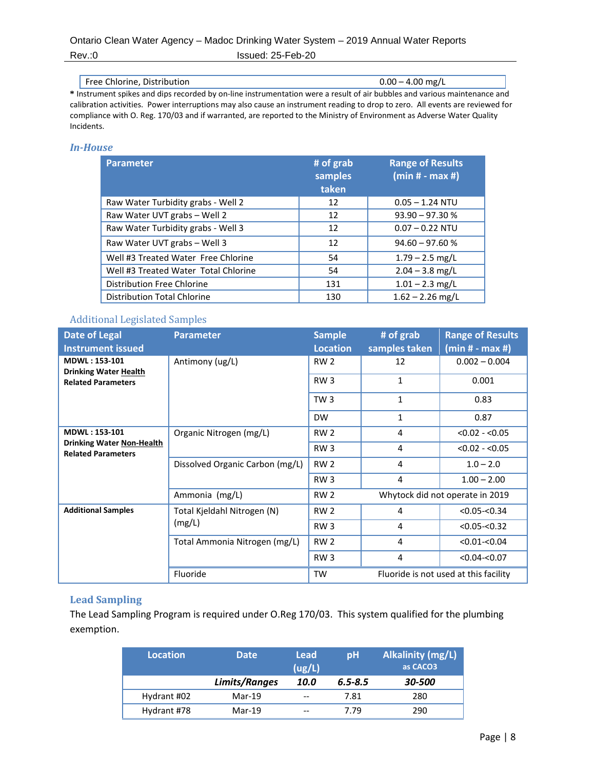Rev.:0 Issued: 25-Feb-20

#### Free Chlorine, Distribution 0.00 – 4.00 mg/L

**\*** Instrument spikes and dips recorded by on-line instrumentation were a result of air bubbles and various maintenance and calibration activities. Power interruptions may also cause an instrument reading to drop to zero. All events are reviewed for compliance with O. Reg. 170/03 and if warranted, are reported to the Ministry of Environment as Adverse Water Quality Incidents.

#### *In-House*

| <b>Parameter</b>                     | # of grab<br>samples<br>taken | <b>Range of Results</b><br>$(min# - max #)$ |
|--------------------------------------|-------------------------------|---------------------------------------------|
| Raw Water Turbidity grabs - Well 2   | 12                            | $0.05 - 1.24$ NTU                           |
| Raw Water UVT grabs - Well 2         | 12                            | $93.90 - 97.30 %$                           |
| Raw Water Turbidity grabs - Well 3   | 12                            | $0.07 - 0.22$ NTU                           |
| Raw Water UVT grabs - Well 3         | 12                            | $94.60 - 97.60 %$                           |
| Well #3 Treated Water Free Chlorine  | 54                            | $1.79 - 2.5$ mg/L                           |
| Well #3 Treated Water Total Chlorine | 54                            | $2.04 - 3.8$ mg/L                           |
| Distribution Free Chlorine           | 131                           | $1.01 - 2.3$ mg/L                           |
| <b>Distribution Total Chlorine</b>   | 130                           | $1.62 - 2.26$ mg/L                          |

#### <span id="page-7-0"></span>Additional Legislated Samples

| <b>Date of Legal</b><br><b>Instrument issued</b>              | <b>Parameter</b>                | <b>Sample</b><br><b>Location</b> | # of grab<br>samples taken            | <b>Range of Results</b><br>$(min# - max #)$ |  |  |
|---------------------------------------------------------------|---------------------------------|----------------------------------|---------------------------------------|---------------------------------------------|--|--|
| <b>MDWL: 153-101</b><br><b>Drinking Water Health</b>          | Antimony (ug/L)                 | RW <sub>2</sub>                  | 12                                    | $0.002 - 0.004$                             |  |  |
| <b>Related Parameters</b>                                     |                                 | RW <sub>3</sub>                  | 1                                     | 0.001                                       |  |  |
|                                                               |                                 | TW <sub>3</sub>                  | $\mathbf{1}$                          | 0.83                                        |  |  |
|                                                               |                                 | <b>DW</b>                        | 1                                     | 0.87                                        |  |  |
| <b>MDWL: 153-101</b>                                          | Organic Nitrogen (mg/L)         | RW <sub>2</sub>                  | 4                                     | $< 0.02 - 0.05$                             |  |  |
| <b>Drinking Water Non-Health</b><br><b>Related Parameters</b> |                                 | RW <sub>3</sub>                  | 4                                     | $< 0.02 - 0.05$                             |  |  |
|                                                               | Dissolved Organic Carbon (mg/L) | RW <sub>2</sub>                  | 4                                     | $1.0 - 2.0$                                 |  |  |
|                                                               |                                 | RW <sub>3</sub>                  | 4                                     | $1.00 - 2.00$                               |  |  |
|                                                               | Ammonia (mg/L)                  | RW <sub>2</sub>                  | Whytock did not operate in 2019       |                                             |  |  |
| <b>Additional Samples</b>                                     | Total Kjeldahl Nitrogen (N)     | <b>RW 2</b>                      | 4                                     | $< 0.05 - 0.34$                             |  |  |
|                                                               | (mg/L)                          | RW <sub>3</sub>                  | 4                                     | $< 0.05 - < 0.32$                           |  |  |
|                                                               | Total Ammonia Nitrogen (mg/L)   | <b>RW 2</b>                      | 4                                     | $< 0.01 - 0.04$                             |  |  |
|                                                               |                                 | RW <sub>3</sub>                  | 4                                     | $< 0.04 - 0.07$                             |  |  |
|                                                               | Fluoride                        | <b>TW</b>                        | Fluoride is not used at this facility |                                             |  |  |

#### <span id="page-7-1"></span>**Lead Sampling**

The Lead Sampling Program is required under O.Reg 170/03. This system qualified for the plumbing exemption.

| <b>Location</b> | <b>Date</b>   | Lead<br>(ug/L)           | pH          | <b>Alkalinity (mg/L)</b><br>as CACO <sub>3</sub> |
|-----------------|---------------|--------------------------|-------------|--------------------------------------------------|
|                 | Limits/Ranges | 10.0                     | $6.5 - 8.5$ | 30-500                                           |
| Hydrant #02     | $Mar-19$      | $\overline{\phantom{m}}$ | 7.81        | 280                                              |
| Hydrant #78     | $Mar-19$      | $- -$                    | 7.79        | 290                                              |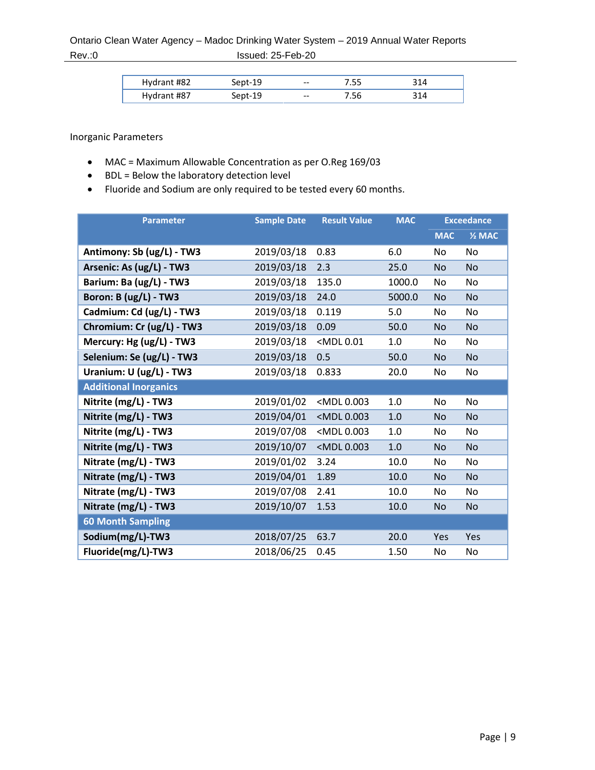# Ontario Clean Water Agency – Madoc Drinking Water System – 2019 Annual Water Reports Rev.:0 **Issued: 25-Feb-20**

| Hydrant #82 |        | $\hspace{0.05cm} \ldots$ | / CC<br>ر ر. |  |
|-------------|--------|--------------------------|--------------|--|
| Hydrant #87 | .ent−` | $- -$                    | . 20         |  |

<span id="page-8-0"></span>Inorganic Parameters

- MAC = Maximum Allowable Concentration as per O.Reg 169/03
- BDL = Below the laboratory detection level
- Fluoride and Sodium are only required to be tested every 60 months.

| <b>Parameter</b>             | <b>Sample Date</b> | <b>Result Value</b>                                                                                           | <b>MAC</b> |            | <b>Exceedance</b> |
|------------------------------|--------------------|---------------------------------------------------------------------------------------------------------------|------------|------------|-------------------|
|                              |                    |                                                                                                               |            | <b>MAC</b> | $2$ MAC           |
| Antimony: Sb (ug/L) - TW3    | 2019/03/18         | 0.83                                                                                                          | 6.0        | No         | No                |
| Arsenic: As (ug/L) - TW3     | 2019/03/18         | 2.3                                                                                                           | 25.0       | <b>No</b>  | <b>No</b>         |
| Barium: Ba (ug/L) - TW3      | 2019/03/18         | 135.0                                                                                                         | 1000.0     | No         | No                |
| Boron: B (ug/L) - TW3        | 2019/03/18         | 24.0                                                                                                          | 5000.0     | <b>No</b>  | <b>No</b>         |
| Cadmium: Cd (ug/L) - TW3     | 2019/03/18         | 0.119                                                                                                         | 5.0        | No         | No                |
| Chromium: Cr (ug/L) - TW3    | 2019/03/18         | 0.09                                                                                                          | 50.0       | No         | No.               |
| Mercury: Hg (ug/L) - TW3     | 2019/03/18         | <mdl0.01< th=""><th>1.0</th><th>No</th><th>No</th></mdl0.01<>                                                 | 1.0        | No         | No                |
| Selenium: Se (ug/L) - TW3    | 2019/03/18         | 0.5                                                                                                           | 50.0       | <b>No</b>  | <b>No</b>         |
| Uranium: U (ug/L) - TW3      | 2019/03/18         | 0.833                                                                                                         | 20.0       | No         | No                |
| <b>Additional Inorganics</b> |                    |                                                                                                               |            |            |                   |
| Nitrite (mg/L) - TW3         | 2019/01/02         | <mdl0.003< th=""><th>1.0</th><th>No</th><th>No</th></mdl0.003<>                                               | 1.0        | No         | No                |
| Nitrite (mg/L) - TW3         | 2019/04/01         | <mdl0.003< th=""><th><math display="inline">1.0\,</math></th><th><b>No</b></th><th><b>No</b></th></mdl0.003<> | $1.0\,$    | <b>No</b>  | <b>No</b>         |
| Nitrite (mg/L) - TW3         | 2019/07/08         | <mdl 0.003<="" th=""><th>1.0</th><th>No</th><th>No</th></mdl>                                                 | 1.0        | No         | No                |
| Nitrite (mg/L) - TW3         | 2019/10/07         | <mdl0.003< th=""><th>1.0</th><th><b>No</b></th><th><b>No</b></th></mdl0.003<>                                 | 1.0        | <b>No</b>  | <b>No</b>         |
| Nitrate (mg/L) - TW3         | 2019/01/02         | 3.24                                                                                                          | 10.0       | No         | <b>No</b>         |
| Nitrate (mg/L) - TW3         | 2019/04/01         | 1.89                                                                                                          | 10.0       | No         | <b>No</b>         |
| Nitrate (mg/L) - TW3         | 2019/07/08         | 2.41                                                                                                          | 10.0       | No         | No                |
| Nitrate (mg/L) - TW3         | 2019/10/07         | 1.53                                                                                                          | 10.0       | <b>No</b>  | <b>No</b>         |
| <b>60 Month Sampling</b>     |                    |                                                                                                               |            |            |                   |
| Sodium(mg/L)-TW3             | 2018/07/25         | 63.7                                                                                                          | 20.0       | Yes        | Yes               |
| Fluoride(mg/L)-TW3           | 2018/06/25         | 0.45                                                                                                          | 1.50       | No         | No                |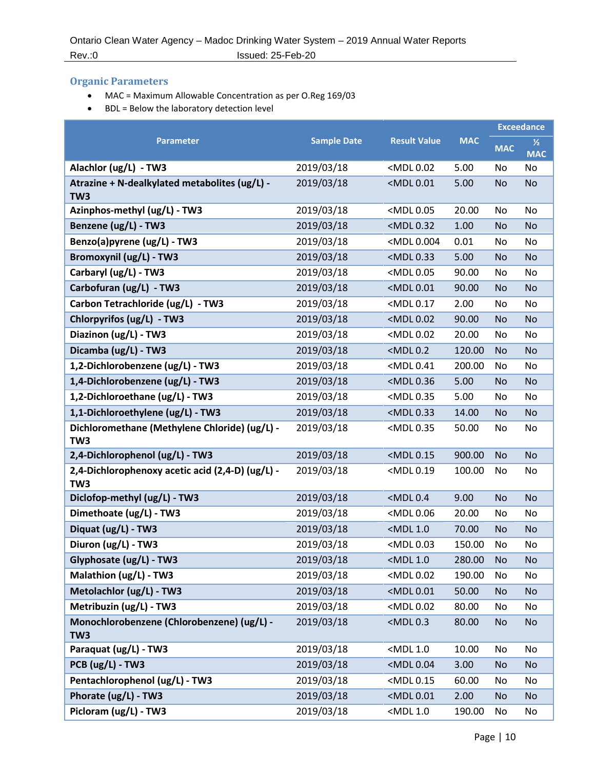# <span id="page-9-0"></span>**Organic Parameters**

- MAC = Maximum Allowable Concentration as per O.Reg 169/03
- BDL = Below the laboratory detection level

|                                                                     |                    |                                                                              |            |            | <b>Exceedance</b>           |
|---------------------------------------------------------------------|--------------------|------------------------------------------------------------------------------|------------|------------|-----------------------------|
| <b>Parameter</b>                                                    | <b>Sample Date</b> | <b>Result Value</b>                                                          | <b>MAC</b> | <b>MAC</b> | $\frac{1}{2}$<br><b>MAC</b> |
| Alachlor (ug/L) - TW3                                               | 2019/03/18         | <mdl 0.02<="" th=""><th>5.00</th><th>No</th><th>No</th></mdl>                | 5.00       | No         | No                          |
| Atrazine + N-dealkylated metabolites (ug/L) -<br>TW <sub>3</sub>    | 2019/03/18         | <mdl 0.01<="" th=""><th>5.00</th><th>No</th><th><b>No</b></th></mdl>         | 5.00       | No         | <b>No</b>                   |
| Azinphos-methyl (ug/L) - TW3                                        | 2019/03/18         | <mdl 0.05<="" th=""><th>20.00</th><th>No</th><th>No</th></mdl>               | 20.00      | No         | No                          |
| Benzene (ug/L) - TW3                                                | 2019/03/18         | <mdl 0.32<="" th=""><th>1.00</th><th>No</th><th><b>No</b></th></mdl>         | 1.00       | No         | <b>No</b>                   |
| Benzo(a)pyrene (ug/L) - TW3                                         | 2019/03/18         | <mdl 0.004<="" th=""><th>0.01</th><th>No</th><th>No</th></mdl>               | 0.01       | No         | No                          |
| Bromoxynil (ug/L) - TW3                                             | 2019/03/18         | <mdl 0.33<="" th=""><th>5.00</th><th>No</th><th>No</th></mdl>                | 5.00       | No         | No                          |
| Carbaryl (ug/L) - TW3                                               | 2019/03/18         | <mdl 0.05<="" th=""><th>90.00</th><th>No</th><th>No</th></mdl>               | 90.00      | No         | No                          |
| Carbofuran (ug/L) - TW3                                             | 2019/03/18         | <mdl 0.01<="" th=""><th>90.00</th><th>No</th><th><b>No</b></th></mdl>        | 90.00      | No         | <b>No</b>                   |
| Carbon Tetrachloride (ug/L) - TW3                                   | 2019/03/18         | <mdl 0.17<="" th=""><th>2.00</th><th>No</th><th>No</th></mdl>                | 2.00       | No         | No                          |
| Chlorpyrifos (ug/L) - TW3                                           | 2019/03/18         | <mdl 0.02<="" th=""><th>90.00</th><th><b>No</b></th><th><b>No</b></th></mdl> | 90.00      | <b>No</b>  | <b>No</b>                   |
| Diazinon (ug/L) - TW3                                               | 2019/03/18         | <mdl 0.02<="" th=""><th>20.00</th><th>No</th><th>No</th></mdl>               | 20.00      | No         | No                          |
| Dicamba (ug/L) - TW3                                                | 2019/03/18         | $<$ MDL $0.2$                                                                | 120.00     | No         | No                          |
| 1,2-Dichlorobenzene (ug/L) - TW3                                    | 2019/03/18         | <mdl0.41< th=""><th>200.00</th><th>No</th><th>No</th></mdl0.41<>             | 200.00     | No         | No                          |
| 1,4-Dichlorobenzene (ug/L) - TW3                                    | 2019/03/18         | <mdl 0.36<="" th=""><th>5.00</th><th>No</th><th><b>No</b></th></mdl>         | 5.00       | No         | <b>No</b>                   |
| 1,2-Dichloroethane (ug/L) - TW3                                     | 2019/03/18         | <mdl 0.35<="" th=""><th>5.00</th><th>No</th><th>No</th></mdl>                | 5.00       | No         | No                          |
| 1,1-Dichloroethylene (ug/L) - TW3                                   | 2019/03/18         | <mdl 0.33<="" th=""><th>14.00</th><th><b>No</b></th><th><b>No</b></th></mdl> | 14.00      | <b>No</b>  | <b>No</b>                   |
| Dichloromethane (Methylene Chloride) (ug/L) -<br>TW <sub>3</sub>    | 2019/03/18         | <mdl 0.35<="" th=""><th>50.00</th><th>No</th><th>No</th></mdl>               | 50.00      | No         | No                          |
| 2,4-Dichlorophenol (ug/L) - TW3                                     | 2019/03/18         | <mdl 0.15<="" th=""><th>900.00</th><th>No</th><th>No</th></mdl>              | 900.00     | No         | No                          |
| 2,4-Dichlorophenoxy acetic acid (2,4-D) (ug/L) -<br>TW <sub>3</sub> | 2019/03/18         | <mdl 0.19<="" th=""><th>100.00</th><th>No</th><th>No</th></mdl>              | 100.00     | No         | No                          |
| Diclofop-methyl (ug/L) - TW3                                        | 2019/03/18         | $<$ MDL $0.4$                                                                | 9.00       | <b>No</b>  | <b>No</b>                   |
| Dimethoate (ug/L) - TW3                                             | 2019/03/18         | <mdl 0.06<="" th=""><th>20.00</th><th>No</th><th>No</th></mdl>               | 20.00      | No         | No                          |
| Diquat (ug/L) - TW3                                                 | 2019/03/18         | <mdl 1.0<="" th=""><th>70.00</th><th><b>No</b></th><th><b>No</b></th></mdl>  | 70.00      | <b>No</b>  | <b>No</b>                   |
| Diuron (ug/L) - TW3                                                 | 2019/03/18         | <mdl 0.03<="" th=""><th>150.00</th><th>No</th><th>No</th></mdl>              | 150.00     | No         | No                          |
| Glyphosate (ug/L) - TW3                                             | 2019/03/18         | $<$ MDL 1.0                                                                  | 280.00     | <b>No</b>  | No                          |
| Malathion (ug/L) - TW3                                              | 2019/03/18         | <mdl 0.02<="" th=""><th>190.00</th><th>No</th><th>No</th></mdl>              | 190.00     | No         | No                          |
| Metolachlor (ug/L) - TW3                                            | 2019/03/18         | <mdl 0.01<="" th=""><th>50.00</th><th><b>No</b></th><th>No</th></mdl>        | 50.00      | <b>No</b>  | No                          |
| Metribuzin (ug/L) - TW3                                             | 2019/03/18         | <mdl 0.02<="" th=""><th>80.00</th><th>No</th><th>No</th></mdl>               | 80.00      | No         | No                          |
| Monochlorobenzene (Chlorobenzene) (ug/L) -<br>TW <sub>3</sub>       | 2019/03/18         | $<$ MDL $0.3$                                                                | 80.00      | <b>No</b>  | <b>No</b>                   |
| Paraquat (ug/L) - TW3                                               | 2019/03/18         | <mdl 1.0<="" th=""><th>10.00</th><th>No</th><th>No</th></mdl>                | 10.00      | No         | No                          |
| PCB (ug/L) - TW3                                                    | 2019/03/18         | <mdl 0.04<="" th=""><th>3.00</th><th>No</th><th>No</th></mdl>                | 3.00       | No         | No                          |
| Pentachlorophenol (ug/L) - TW3                                      | 2019/03/18         | <mdl 0.15<="" th=""><th>60.00</th><th>No</th><th>No</th></mdl>               | 60.00      | No         | No                          |
| Phorate (ug/L) - TW3                                                | 2019/03/18         | <mdl 0.01<="" th=""><th>2.00</th><th>No</th><th>No</th></mdl>                | 2.00       | No         | No                          |
| Picloram (ug/L) - TW3                                               | 2019/03/18         | <mdl 1.0<="" th=""><th>190.00</th><th>No</th><th>No</th></mdl>               | 190.00     | No         | No                          |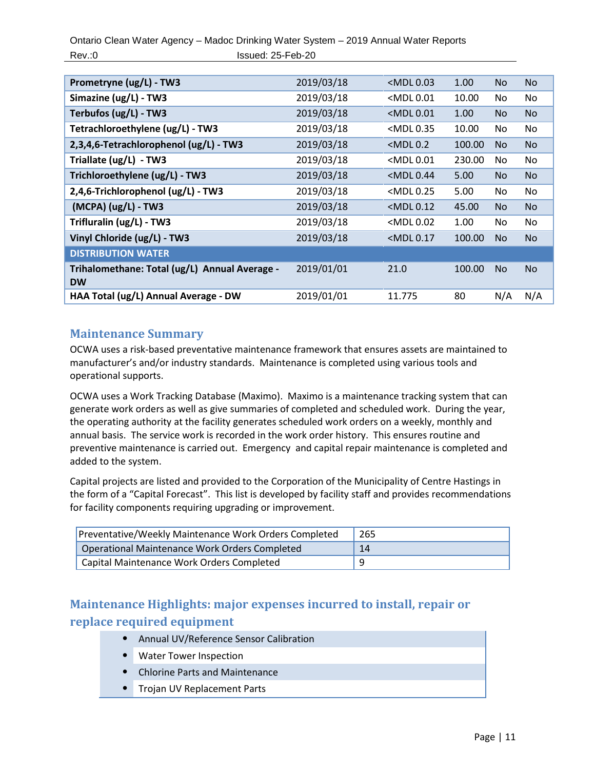Ontario Clean Water Agency – Madoc Drinking Water System – 2019 Annual Water Reports Rev.:0 **Issued: 25-Feb-20** 

| Prometryne (ug/L) - TW3                                    | 2019/03/18 | $<$ MDL $0.03$                                                               | 1.00   | No.       | <b>No</b> |
|------------------------------------------------------------|------------|------------------------------------------------------------------------------|--------|-----------|-----------|
| Simazine (ug/L) - TW3                                      | 2019/03/18 | <mdl 0.01<="" th=""><th>10.00</th><th>No</th><th>No</th></mdl>               | 10.00  | No        | No        |
| Terbufos (ug/L) - TW3                                      | 2019/03/18 | <mdl0.01< th=""><th>1.00</th><th><b>No</b></th><th><b>No</b></th></mdl0.01<> | 1.00   | <b>No</b> | <b>No</b> |
| Tetrachloroethylene (ug/L) - TW3                           | 2019/03/18 | <mdl 0.35<="" th=""><th>10.00</th><th>No</th><th>No</th></mdl>               | 10.00  | No        | No        |
| 2,3,4,6-Tetrachlorophenol (ug/L) - TW3                     | 2019/03/18 | $<$ MDL $0.2$                                                                | 100.00 | <b>No</b> | <b>No</b> |
| Triallate (ug/L) - TW3                                     | 2019/03/18 | <mdl 0.01<="" th=""><th>230.00</th><th>No</th><th>No</th></mdl>              | 230.00 | No        | No        |
| Trichloroethylene (ug/L) - TW3                             | 2019/03/18 | <mdl 0.44<="" th=""><th>5.00</th><th><b>No</b></th><th><b>No</b></th></mdl>  | 5.00   | <b>No</b> | <b>No</b> |
| 2,4,6-Trichlorophenol (ug/L) - TW3                         | 2019/03/18 | <mdl 0.25<="" th=""><th>5.00</th><th>No</th><th>No.</th></mdl>               | 5.00   | No        | No.       |
| $(MCPA)$ (ug/L) - TW3                                      | 2019/03/18 | $<$ MDL $0.12$                                                               | 45.00  | No.       | <b>No</b> |
| Trifluralin (ug/L) - TW3                                   | 2019/03/18 | <mdl 0.02<="" th=""><th>1.00</th><th>No</th><th>No</th></mdl>                | 1.00   | No        | No        |
| Vinyl Chloride (ug/L) - TW3                                | 2019/03/18 | $<$ MDL 0.17                                                                 | 100.00 | <b>No</b> | <b>No</b> |
| <b>DISTRIBUTION WATER</b>                                  |            |                                                                              |        |           |           |
| Trihalomethane: Total (ug/L) Annual Average -<br><b>DW</b> | 2019/01/01 | 21.0                                                                         | 100.00 | No.       | No.       |
| HAA Total (ug/L) Annual Average - DW                       | 2019/01/01 | 11.775                                                                       | 80     | N/A       | N/A       |

# <span id="page-10-0"></span>**Maintenance Summary**

OCWA uses a risk-based preventative maintenance framework that ensures assets are maintained to manufacturer's and/or industry standards. Maintenance is completed using various tools and operational supports.

OCWA uses a Work Tracking Database (Maximo). Maximo is a maintenance tracking system that can generate work orders as well as give summaries of completed and scheduled work. During the year, the operating authority at the facility generates scheduled work orders on a weekly, monthly and annual basis. The service work is recorded in the work order history. This ensures routine and preventive maintenance is carried out. Emergency and capital repair maintenance is completed and added to the system.

Capital projects are listed and provided to the Corporation of the Municipality of Centre Hastings in the form of a "Capital Forecast". This list is developed by facility staff and provides recommendations for facility components requiring upgrading or improvement.

| Preventative/Weekly Maintenance Work Orders Completed | 265 |
|-------------------------------------------------------|-----|
| Operational Maintenance Work Orders Completed         | 14  |
| Capital Maintenance Work Orders Completed             |     |

# <span id="page-10-1"></span>**Maintenance Highlights: major expenses incurred to install, repair or replace required equipment**

- Annual UV/Reference Sensor Calibration
- Water Tower Inspection
- Chlorine Parts and Maintenance
- <span id="page-10-2"></span>• Trojan UV Replacement Parts